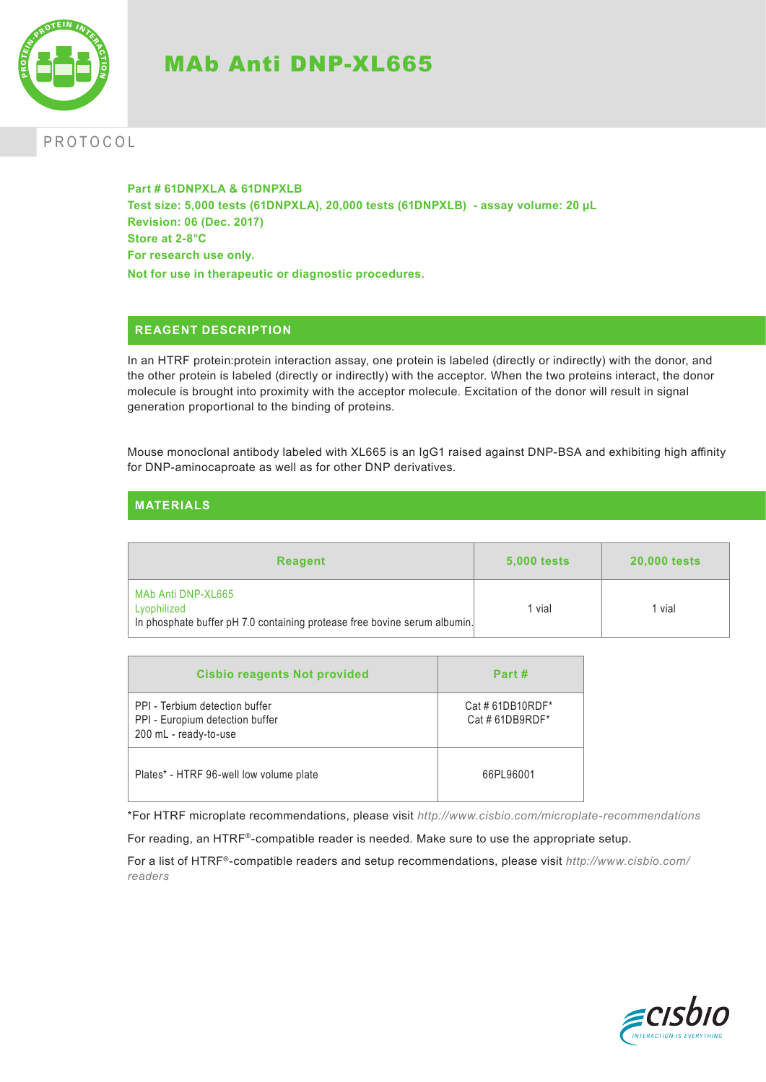

# MAb Anti DNP-XL665

# PROTOCOL

**Part # 61DNPXLA & 61DNPXLB Test size: 5,000 tests (61DNPXLA), 20,000 tests (61DNPXLB) - assay volume: 20 µL Revision: 06 (Dec. 2017) Store at 2-8°C For research use only. Not for use in therapeutic or diagnostic procedures.**

## **REAGENT DESCRIPTION**

In an HTRF protein:protein interaction assay, one protein is labeled (directly or indirectly) with the donor, and the other protein is labeled (directly or indirectly) with the acceptor. When the two proteins interact, the donor molecule is brought into proximity with the acceptor molecule. Excitation of the donor will result in signal generation proportional to the binding of proteins.

Mouse monoclonal antibody labeled with XL665 is an IgG1 raised against DNP-BSA and exhibiting high affinity for DNP-aminocaproate as well as for other DNP derivatives.

|  | <b>MATERIALS</b> |  |
|--|------------------|--|
|  |                  |  |

| <b>Reagent</b>                                                                                                 | <b>5,000 tests</b> | <b>20,000 tests</b> |
|----------------------------------------------------------------------------------------------------------------|--------------------|---------------------|
| MAb Anti DNP-XL665<br>Lyophilized<br>In phosphate buffer pH 7.0 containing protease free bovine serum albumin. | 1 vial             | 1 vial              |

| <b>Cisbio reagents Not provided</b>                                                        | Part#                              |
|--------------------------------------------------------------------------------------------|------------------------------------|
| PPI - Terbium detection buffer<br>PPI - Europium detection buffer<br>200 mL - ready-to-use | Cat # 61DB10RDF*<br>Cat #61DB9RDF* |
| Plates* - HTRF 96-well low volume plate                                                    | 66PL96001                          |

\*For HTRF microplate recommendations, please visit *http://www.cisbio.com/microplate-recommendations*

For reading, an HTRF®-compatible reader is needed. Make sure to use the appropriate setup.

For a list of HTRF®-compatible readers and setup recommendations, please visit *http://www.cisbio.com/ readers*